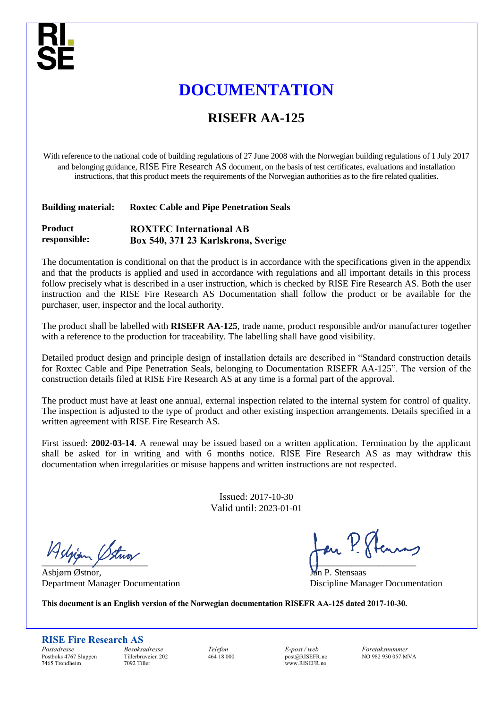# **DOCUMENTATION**

# **RISEFR AA-125**

With reference to the national code of building regulations of 27 June 2008 with the Norwegian building regulations of 1 July 2017 and belonging guidance, RISE Fire Research AS document, on the basis of test certificates, evaluations and installation instructions, that this product meets the requirements of the Norwegian authorities as to the fire related qualities.

### **Building material: Roxtec Cable and Pipe Penetration Seals**

#### **Product responsible: ROXTEC International AB Box 540, 371 23 Karlskrona, Sverige**

The documentation is conditional on that the product is in accordance with the specifications given in the appendix and that the products is applied and used in accordance with regulations and all important details in this process follow precisely what is described in a user instruction, which is checked by RISE Fire Research AS. Both the user instruction and the RISE Fire Research AS Documentation shall follow the product or be available for the purchaser, user, inspector and the local authority.

The product shall be labelled with **RISEFR AA-125**, trade name, product responsible and/or manufacturer together with a reference to the production for traceability. The labelling shall have good visibility.

Detailed product design and principle design of installation details are described in "Standard construction details for Roxtec Cable and Pipe Penetration Seals, belonging to Documentation RISEFR AA-125". The version of the construction details filed at RISE Fire Research AS at any time is a formal part of the approval.

The product must have at least one annual, external inspection related to the internal system for control of quality. The inspection is adjusted to the type of product and other existing inspection arrangements. Details specified in a written agreement with RISE Fire Research AS.

First issued: **2002-03-14**. A renewal may be issued based on a written application. Termination by the applicant shall be asked for in writing and with 6 months notice. RISE Fire Research AS as may withdraw this documentation when irregularities or misuse happens and written instructions are not respected.

> Issued: 2017-10-30 Valid until: 2023-01-01

Asljian Stua

Asbjørn Østnor, Jan P. Stensaas Department Manager Documentation Discipline Manager Documentation

**This document is an English version of the Norwegian documentation RISEFR AA-125 dated 2017-10-30.**

**RISE Fire Research AS**

*Postadresse* Postboks 4767 Sluppen 7465 Trondheim

*Besøksadresse* Tillerbruveien 202 7092 Tiller

*Telefon* 464 18 000 *E-post / web* post@RISEFR.no www.RISEFR.no

*Foretaksnummer* NO 982 930 057 MVA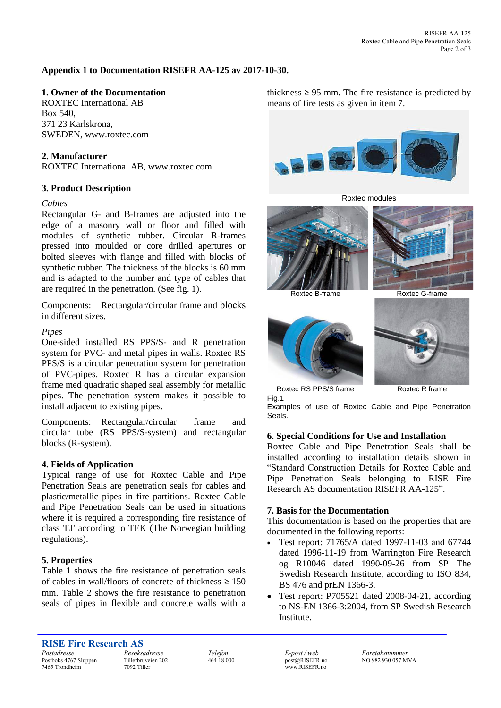## **Appendix 1 to Documentation RISEFR AA-125 av 2017-10-30.**

### **1. Owner of the Documentation**

ROXTEC International AB Box 540, 371 23 Karlskrona, SWEDEN, www.roxtec.com

#### **2. Manufacturer**

ROXTEC International AB, www.roxtec.com

#### **3. Product Description**

#### *Cables*

Rectangular G- and B-frames are adjusted into the edge of a masonry wall or floor and filled with modules of synthetic rubber. Circular R-frames pressed into moulded or core drilled apertures or bolted sleeves with flange and filled with blocks of synthetic rubber. The thickness of the blocks is 60 mm and is adapted to the number and type of cables that are required in the penetration. (See fig. 1).

Components: Rectangular/circular frame and blocks in different sizes.

#### *Pipes*

One-sided installed RS PPS/S- and R penetration system for PVC- and metal pipes in walls. Roxtec RS PPS/S is a circular penetration system for penetration of PVC-pipes. Roxtec R has a circular expansion frame med quadratic shaped seal assembly for metallic pipes. The penetration system makes it possible to install adjacent to existing pipes.

Components: Rectangular/circular frame and circular tube (RS PPS/S-system) and rectangular blocks (R-system).

#### **4. Fields of Application**

Typical range of use for Roxtec Cable and Pipe Penetration Seals are penetration seals for cables and plastic/metallic pipes in fire partitions. Roxtec Cable and Pipe Penetration Seals can be used in situations where it is required a corresponding fire resistance of class 'EI' according to TEK (The Norwegian building regulations).

### **5. Properties**

Table 1 shows the fire resistance of penetration seals of cables in wall/floors of concrete of thickness  $\geq 150$ mm. Table 2 shows the fire resistance to penetration seals of pipes in flexible and concrete walls with a thickness  $\geq$  95 mm. The fire resistance is predicted by means of fire tests as given in item 7.







Roxtec B-frame Roxtec G-frame





Roxtec RS PPS/S frame Roxtec R frame Fig.1

Examples of use of Roxtec Cable and Pipe Penetration Seals.

#### **6. Special Conditions for Use and Installation**

Roxtec Cable and Pipe Penetration Seals shall be installed according to installation details shown in "Standard Construction Details for Roxtec Cable and Pipe Penetration Seals belonging to RISE Fire Research AS documentation RISEFR AA-125".

#### **7. Basis for the Documentation**

This documentation is based on the properties that are documented in the following reports:

- Test report: 71765/A dated 1997-11-03 and 67744 dated 1996-11-19 from Warrington Fire Research og R10046 dated 1990-09-26 from SP The Swedish Research Institute, according to ISO 834, BS 476 and prEN 1366-3.
- Test report: P705521 dated 2008-04-21, according to NS-EN 1366-3:2004, from SP Swedish Research Institute.

*Postadresse* Postboks 4767 Sluppen 7465 Trondheim

*Besøksadresse* Tillerbruveien 202 7092 Tiller

*Telefon* 464 18 000 *E-post / web* post@RISEFR.no www.RISEFR.no

*Foretaksnummer* NO 982 930 057 MVA